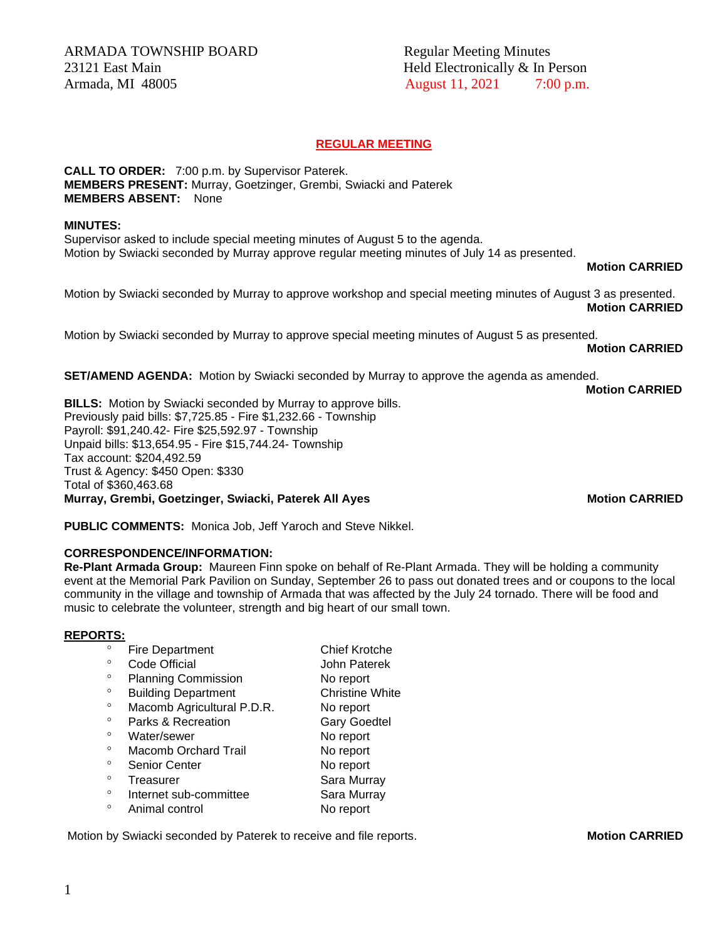ARMADA TOWNSHIP BOARD Regular Meeting Minutes 23121 East Main **Held Electronically & In Person** Armada, MI 48005 **August 11, 2021** 7:00 p.m.

# **REGULAR MEETING**

**CALL TO ORDER:** 7:00 p.m. by Supervisor Paterek. **MEMBERS PRESENT:** Murray, Goetzinger, Grembi, Swiacki and Paterek **MEMBERS ABSENT:** None

#### **MINUTES:**

Supervisor asked to include special meeting minutes of August 5 to the agenda. Motion by Swiacki seconded by Murray approve regular meeting minutes of July 14 as presented.

#### **Motion CARRIED**

Motion by Swiacki seconded by Murray to approve workshop and special meeting minutes of August 3 as presented. **Motion CARRIED**

Motion by Swiacki seconded by Murray to approve special meeting minutes of August 5 as presented.

## **Motion CARRIED**

**Motion CARRIED**

**SET/AMEND AGENDA:** Motion by Swiacki seconded by Murray to approve the agenda as amended.

**BILLS:** Motion by Swiacki seconded by Murray to approve bills. Previously paid bills: \$7,725.85 - Fire \$1,232.66 - Township Payroll: \$91,240.42- Fire \$25,592.97 - Township Unpaid bills: \$13,654.95 - Fire \$15,744.24- Township Tax account: \$204,492.59 Trust & Agency: \$450 Open: \$330 Total of \$360,463.68 **Murray, Grembi, Goetzinger, Swiacki, Paterek All Ayes Motion CARRIED**

**PUBLIC COMMENTS:** Monica Job, Jeff Yaroch and Steve Nikkel.

## **CORRESPONDENCE/INFORMATION:**

**Re-Plant Armada Group:** Maureen Finn spoke on behalf of Re-Plant Armada. They will be holding a community event at the Memorial Park Pavilion on Sunday, September 26 to pass out donated trees and or coupons to the local community in the village and township of Armada that was affected by the July 24 tornado. There will be food and music to celebrate the volunteer, strength and big heart of our small town.

## **REPORTS:**

| $\circ$ | <b>Fire Department</b>      | <b>Chief Krotche</b>   |
|---------|-----------------------------|------------------------|
|         | Code Official               | John Paterek           |
| $\circ$ | <b>Planning Commission</b>  | No report              |
| $\circ$ | <b>Building Department</b>  | <b>Christine White</b> |
| $\circ$ | Macomb Agricultural P.D.R.  | No report              |
| $\circ$ | Parks & Recreation          | <b>Gary Goedtel</b>    |
| $\circ$ | Water/sewer                 | No report              |
| $\circ$ | <b>Macomb Orchard Trail</b> | No report              |
| $\circ$ | <b>Senior Center</b>        | No report              |
| $\circ$ | Treasurer                   | Sara Murray            |
| $\circ$ | Internet sub-committee      | Sara Murray            |
| $\circ$ | Animal control              | No report              |

Motion by Swiacki seconded by Paterek to receive and file reports. **Motion CARRIED**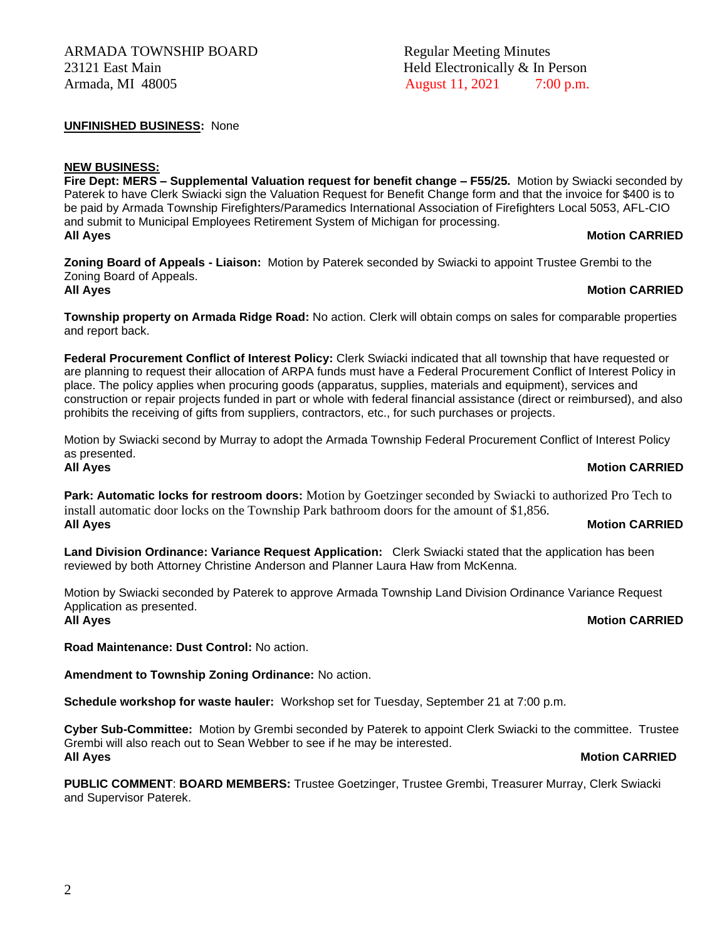# ARMADA TOWNSHIP BOARD Regular Meeting Minutes 23121 East Main **Held Electronically & In Person** Armada, MI 48005 **August 11, 2021** 7:00 p.m.

**UNFINISHED BUSINESS:** None

## **NEW BUSINESS:**

**Fire Dept: MERS – Supplemental Valuation request for benefit change – F55/25.** Motion by Swiacki seconded by Paterek to have Clerk Swiacki sign the Valuation Request for Benefit Change form and that the invoice for \$400 is to be paid by Armada Township Firefighters/Paramedics International Association of Firefighters Local 5053, AFL-CIO and submit to Municipal Employees Retirement System of Michigan for processing. **All Ayes Motion CARRIED**

**Zoning Board of Appeals - Liaison:** Motion by Paterek seconded by Swiacki to appoint Trustee Grembi to the Zoning Board of Appeals. **All Ayes Motion CARRIED**

# **Township property on Armada Ridge Road:** No action. Clerk will obtain comps on sales for comparable properties and report back.

**Federal Procurement Conflict of Interest Policy:** Clerk Swiacki indicated that all township that have requested or are planning to request their allocation of ARPA funds must have a Federal Procurement Conflict of Interest Policy in place. The policy applies when procuring goods (apparatus, supplies, materials and equipment), services and construction or repair projects funded in part or whole with federal financial assistance (direct or reimbursed), and also prohibits the receiving of gifts from suppliers, contractors, etc., for such purchases or projects.

Motion by Swiacki second by Murray to adopt the Armada Township Federal Procurement Conflict of Interest Policy as presented.

## **All Ayes Motion CARRIED**

**Park: Automatic locks for restroom doors:** Motion by Goetzinger seconded by Swiacki to authorized Pro Tech to install automatic door locks on the Township Park bathroom doors for the amount of \$1,856. **All Ayes Motion CARRIED**

**Land Division Ordinance: Variance Request Application:** Clerk Swiacki stated that the application has been reviewed by both Attorney Christine Anderson and Planner Laura Haw from McKenna.

Motion by Swiacki seconded by Paterek to approve Armada Township Land Division Ordinance Variance Request Application as presented. **All Ayes Motion CARRIED**

**Road Maintenance: Dust Control:** No action.

**Amendment to Township Zoning Ordinance:** No action.

**Schedule workshop for waste hauler:** Workshop set for Tuesday, September 21 at 7:00 p.m.

**Cyber Sub-Committee:** Motion by Grembi seconded by Paterek to appoint Clerk Swiacki to the committee. Trustee Grembi will also reach out to Sean Webber to see if he may be interested. **All Ayes Motion CARRIED**

**PUBLIC COMMENT**: **BOARD MEMBERS:** Trustee Goetzinger, Trustee Grembi, Treasurer Murray, Clerk Swiacki and Supervisor Paterek.